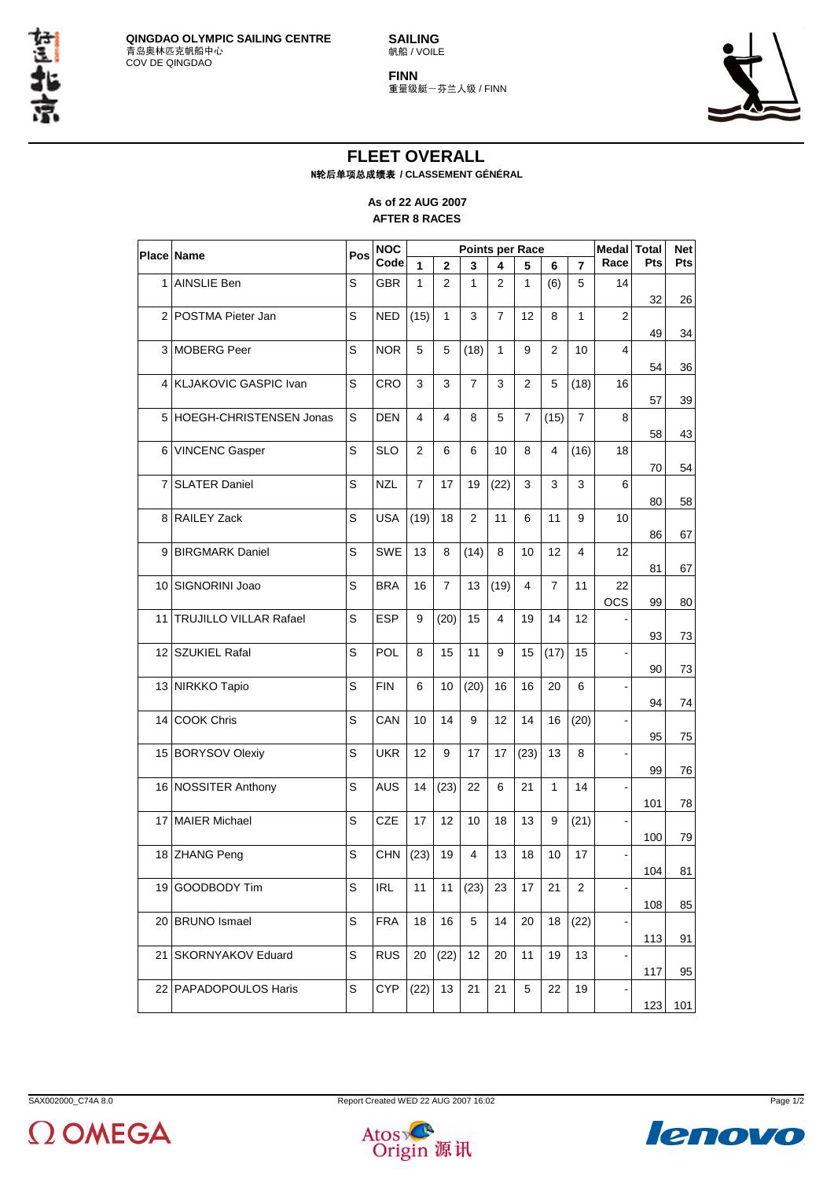**SAILING** 帆船 / VOILE





## **FLEET OVERALL** N轮后单项总成绩表 **/ CLASSEMENT GÉNÉRAL**

## **As of 22 AUG 2007 AFTER 8 RACES**

|                   | <b>Place Name</b>             | Pos | <b>NOC</b> | Points per Race |                |                |                |                |                | Medal Total    |                  | <b>Net</b> |     |
|-------------------|-------------------------------|-----|------------|-----------------|----------------|----------------|----------------|----------------|----------------|----------------|------------------|------------|-----|
|                   |                               |     | Code       | 1               | $\overline{2}$ | 3              | 4              | 5              | 6              | $\overline{7}$ | Race             | Pts        | Pts |
| 1                 | AINSLIE Ben                   | S   | <b>GBR</b> | 1               | $\overline{2}$ | 1              | $\overline{2}$ | 1              | (6)            | 5              | 14               | 32         | 26  |
| $\overline{2}$    | POSTMA Pieter Jan             | S   | <b>NED</b> | (15)            | $\mathbf{1}$   | 3              | $\overline{7}$ | 12             | 8              | $\mathbf{1}$   | $\overline{2}$   | 49         | 34  |
| 3                 | <b>MOBERG</b> Peer            | S   | <b>NOR</b> | 5               | 5              | (18)           | 1              | 9              | $\overline{2}$ | 10             | 4                | 54         | 36  |
| 4                 | <b>KLJAKOVIC GASPIC Ivan</b>  | S   | <b>CRO</b> | 3               | 3              | $\overline{7}$ | 3              | $\mathbf{2}$   | 5              | (18)           | 16               | 57         | 39  |
| 5                 | HOEGH-CHRISTENSEN Jonas       | S   | <b>DEN</b> | 4               | 4              | 8              | 5              | $\overline{7}$ | (15)           | $\overline{7}$ | 8                | 58         | 43  |
| 6                 | <b>VINCENC Gasper</b>         | S   | <b>SLO</b> | 2               | 6              | 6              | 10             | 8              | 4              | (16)           | 18               | 70         | 54  |
| 7                 | <b>SLATER Daniel</b>          | S   | <b>NZL</b> | 7               | 17             | 19             | (22)           | 3              | 3              | 3              | 6                | 80         | 58  |
| 8                 | <b>RAILEY Zack</b>            | S   | <b>USA</b> | (19)            | 18             | $\overline{2}$ | 11             | 6              | 11             | 9              | 10               | 86         | 67  |
| 9                 | <b>BIRGMARK Daniel</b>        | S   | <b>SWE</b> | 13              | 8              | (14)           | 8              | 10             | 12             | 4              | 12               | 81         | 67  |
| 10                | SIGNORINI Joao                | S   | <b>BRA</b> | 16              | $\overline{7}$ | 13             | (19)           | 4              | $\overline{7}$ | 11             | 22<br><b>OCS</b> | 99         | 80  |
| 11                | <b>TRUJILLO VILLAR Rafael</b> | S   | <b>ESP</b> | 9               | (20)           | 15             | 4              | 19             | 14             | 12             |                  | 93         | 73  |
| $12 \overline{ }$ | <b>SZUKIEL Rafal</b>          | S   | POL        | 8               | 15             | 11             | 9              | 15             | (17)           | 15             |                  | 90         | 73  |
|                   | 13 NIRKKO Tapio               | S   | <b>FIN</b> | 6               | 10             | (20)           | 16             | 16             | 20             | 6              |                  | 94         | 74  |
| 14                | <b>COOK Chris</b>             | S   | CAN        | 10              | 14             | 9              | 12             | 14             | 16             | (20)           |                  | 95         | 75  |
|                   | 15 BORYSOV Olexiy             | S   | <b>UKR</b> | 12              | 9              | 17             | 17             | (23)           | 13             | 8              |                  | 99         | 76  |
|                   | 16 NOSSITER Anthony           | S   | <b>AUS</b> | 14              | (23)           | 22             | 6              | 21             | 1              | 14             |                  | 101        | 78  |
| 17                | <b>MAIER Michael</b>          | S   | <b>CZE</b> | 17              | 12             | 10             | 18             | 13             | 9              | (21)           |                  | 100        | 79  |
|                   | 18 ZHANG Peng                 | S   | CHN        | (23)            | 19             | 4              | 13             | 18             | 10             | 17             |                  | 104        | 81  |
|                   | 19 GOODBODY Tim               | S   | <b>IRL</b> | 11              | 11             | (23)           | 23             | 17             | 21             | $\overline{2}$ |                  | 108        | 85  |
|                   | 20 BRUNO Ismael               | S   | <b>FRA</b> | 18              | 16             | 5              | 14             | 20             | 18             | (22)           |                  | 113        | 91  |
|                   | 21   SKORNYAKOV Eduard        | S   | <b>RUS</b> | 20              | (22)           | 12             | 20             | 11             | 19             | 13             |                  | 117        | 95  |
|                   | 22   PAPADOPOULOS Haris       | S   | <b>CYP</b> | (22)            | 13             | 21             | 21             | 5              | 22             | 19             |                  | 123        | 101 |